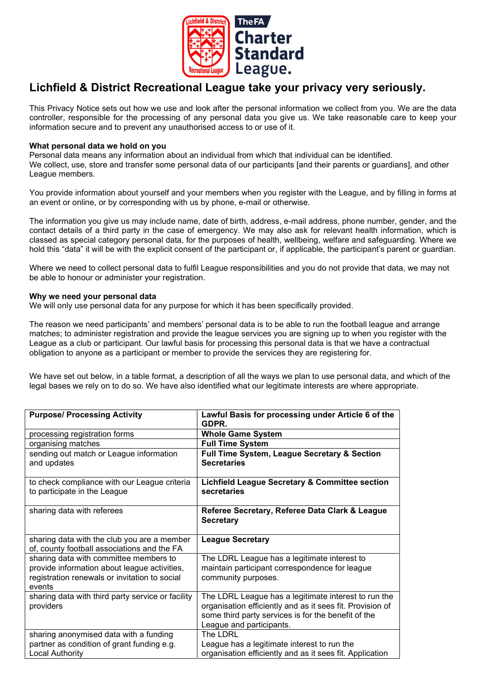

# Lichfield & District Recreational League take your privacy very seriously.

This Privacy Notice sets out how we use and look after the personal information we collect from you. We are the data controller, responsible for the processing of any personal data you give us. We take reasonable care to keep your information secure and to prevent any unauthorised access to or use of it.

## What personal data we hold on you

Personal data means any information about an individual from which that individual can be identified. We collect, use, store and transfer some personal data of our participants [and their parents or guardians], and other League members.

You provide information about yourself and your members when you register with the League, and by filling in forms at an event or online, or by corresponding with us by phone, e-mail or otherwise.

The information you give us may include name, date of birth, address, e-mail address, phone number, gender, and the contact details of a third party in the case of emergency. We may also ask for relevant health information, which is classed as special category personal data, for the purposes of health, wellbeing, welfare and safeguarding. Where we hold this "data" it will be with the explicit consent of the participant or, if applicable, the participant's parent or guardian.

Where we need to collect personal data to fulfil League responsibilities and you do not provide that data, we may not be able to honour or administer your registration.

## Why we need your personal data

We will only use personal data for any purpose for which it has been specifically provided.

The reason we need participants' and members' personal data is to be able to run the football league and arrange matches; to administer registration and provide the league services you are signing up to when you register with the League as a club or participant. Our lawful basis for processing this personal data is that we have a contractual obligation to anyone as a participant or member to provide the services they are registering for.

We have set out below, in a table format, a description of all the ways we plan to use personal data, and which of the legal bases we rely on to do so. We have also identified what our legitimate interests are where appropriate.

| <b>Purpose/ Processing Activity</b>                                                                                                               | Lawful Basis for processing under Article 6 of the<br>GDPR.                                                                                                                                          |
|---------------------------------------------------------------------------------------------------------------------------------------------------|------------------------------------------------------------------------------------------------------------------------------------------------------------------------------------------------------|
| processing registration forms                                                                                                                     | <b>Whole Game System</b>                                                                                                                                                                             |
| organising matches                                                                                                                                | <b>Full Time System</b>                                                                                                                                                                              |
| sending out match or League information<br>and updates                                                                                            | Full Time System, League Secretary & Section<br><b>Secretaries</b>                                                                                                                                   |
| to check compliance with our League criteria<br>to participate in the League                                                                      | <b>Lichfield League Secretary &amp; Committee section</b><br>secretaries                                                                                                                             |
| sharing data with referees                                                                                                                        | Referee Secretary, Referee Data Clark & League<br><b>Secretary</b>                                                                                                                                   |
| sharing data with the club you are a member<br>of, county football associations and the FA                                                        | <b>League Secretary</b>                                                                                                                                                                              |
|                                                                                                                                                   |                                                                                                                                                                                                      |
| sharing data with committee members to<br>provide information about league activities,<br>registration renewals or invitation to social<br>events | The LDRL League has a legitimate interest to<br>maintain participant correspondence for league<br>community purposes.                                                                                |
| sharing data with third party service or facility<br>providers                                                                                    | The LDRL League has a legitimate interest to run the<br>organisation efficiently and as it sees fit. Provision of<br>some third party services is for the benefit of the<br>League and participants. |
| sharing anonymised data with a funding<br>partner as condition of grant funding e.g.                                                              | The LDRL<br>League has a legitimate interest to run the                                                                                                                                              |